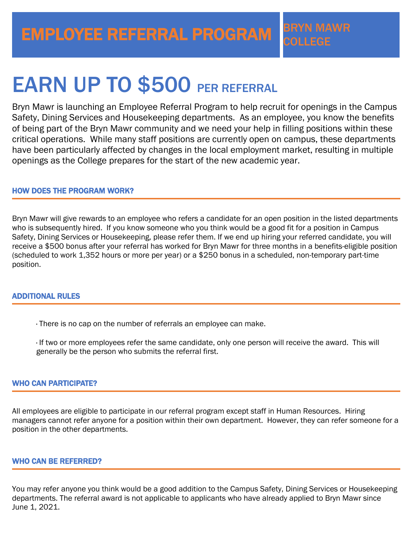# EARN UP TO \$500 PER REFERRAL

Bryn Mawr is launching an Employee Referral Program to help recruit for openings in the Campus Safety, Dining Services and Housekeeping departments. As an employee, you know the benefits of being part of the Bryn Mawr community and we need your help in filling positions within these critical operations. While many staff positions are currently open on campus, these departments have been particularly affected by changes in the local employment market, resulting in multiple openings as the College prepares for the start of the new academic year.

# HOW DOES THE PROGRAM WORK?

Bryn Mawr will give rewards to an employee who refers a candidate for an open position in the listed departments who is subsequently hired. If you know someone who you think would be a good fit for a position in Campus Safety, Dining Services or Housekeeping, please refer them. If we end up hiring your referred candidate, you will receive a \$500 bonus after your referral has worked for Bryn Mawr for three months in a benefits-eligible position (scheduled to work 1,352 hours or more per year) or a \$250 bonus in a scheduled, non-temporary part-time position.

## ADDITIONAL RULES

· There is no cap on the number of referrals an employee can make.

· If two or more employees refer the same candidate, only one person will receive the award. This will generally be the person who submits the referral first.

## WHO CAN PARTICIPATE?

All employees are eligible to participate in our referral program except staff in Human Resources. Hiring managers cannot refer anyone for a position within their own department. However, they can refer someone for a position in the other departments.

# WHO CAN BE REFERRED?

י<br>יי Ì You may refer anyone you think would be a good addition to the Campus Safety, Dining Services or Housekeeping departments. The referral award is not applicable to applicants who have already applied to Bryn Mawr since June 1, 2021.